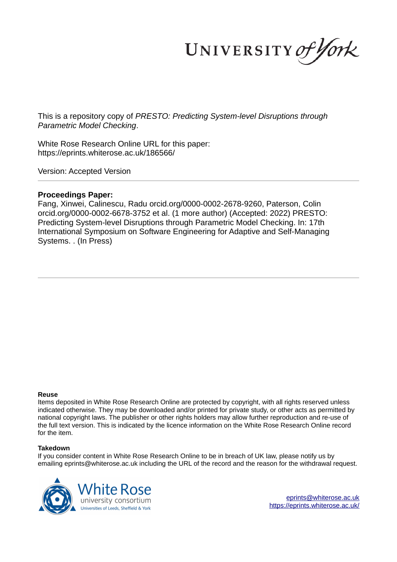UNIVERSITY of York

This is a repository copy of *PRESTO: Predicting System-level Disruptions through Parametric Model Checking*.

White Rose Research Online URL for this paper: https://eprints.whiterose.ac.uk/186566/

Version: Accepted Version

# **Proceedings Paper:**

Fang, Xinwei, Calinescu, Radu orcid.org/0000-0002-2678-9260, Paterson, Colin orcid.org/0000-0002-6678-3752 et al. (1 more author) (Accepted: 2022) PRESTO: Predicting System-level Disruptions through Parametric Model Checking. In: 17th International Symposium on Software Engineering for Adaptive and Self-Managing Systems. . (In Press)

#### **Reuse**

Items deposited in White Rose Research Online are protected by copyright, with all rights reserved unless indicated otherwise. They may be downloaded and/or printed for private study, or other acts as permitted by national copyright laws. The publisher or other rights holders may allow further reproduction and re-use of the full text version. This is indicated by the licence information on the White Rose Research Online record for the item.

## **Takedown**

If you consider content in White Rose Research Online to be in breach of UK law, please notify us by emailing eprints@whiterose.ac.uk including the URL of the record and the reason for the withdrawal request.

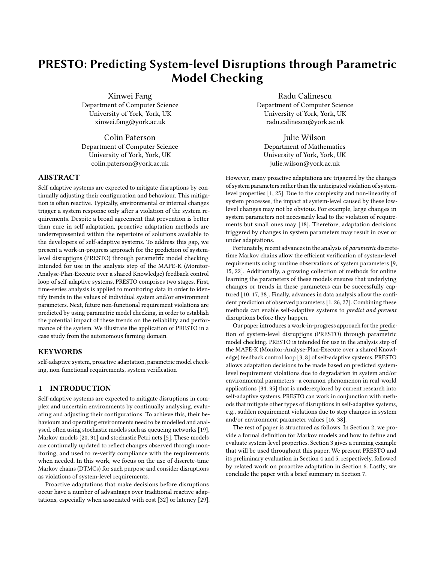# PRESTO: Predicting System-level Disruptions through Parametric Model Checking

Xinwei Fang Department of Computer Science University of York, York, UK xinwei.fang@york.ac.uk

Colin Paterson Department of Computer Science University of York, York, UK colin.paterson@york.ac.uk

### ABSTRACT

Self-adaptive systems are expected to mitigate disruptions by continually adjusting their configuration and behaviour. This mitigation is often reactive. Typically, environmental or internal changes trigger a system response only after a violation of the system requirements. Despite a broad agreement that prevention is better than cure in self-adaptation, proactive adaptation methods are underrepresented within the repertoire of solutions available to the developers of self-adaptive systems. To address this gap, we present a work-in-progress approach for the prediction of systemlevel disruptions (PRESTO) through parametric model checking. Intended for use in the analysis step of the MAPE-K (Monitor-Analyse-Plan-Execute over a shared Knowledge) feedback control loop of self-adaptive systems, PRESTO comprises two stages. First, time-series analysis is applied to monitoring data in order to identify trends in the values of individual system and/or environment parameters. Next, future non-functional requirement violations are predicted by using parametric model checking, in order to establish the potential impact of these trends on the reliability and performance of the system. We illustrate the application of PRESTO in a case study from the autonomous farming domain.

## **KEYWORDS**

self-adaptive system, proactive adaptation, parametric model checking, non-functional requirements, system verification

# 1 INTRODUCTION

Self-adaptive systems are expected to mitigate disruptions in complex and uncertain environments by continually analysing, evaluating and adjusting their configurations. To achieve this, their behaviours and operating environments need to be modelled and analysed, often using stochastic models such as queueing networks [19], Markov models [20, 31] and stochastic Petri nets [5]. These models are continually updated to reflect changes observed through monitoring, and used to re-verify compliance with the requirements when needed. In this work, we focus on the use of discrete-time Markov chains (DTMCs) for such purpose and consider disruptions as violations of system-level requirements.

Proactive adaptations that make decisions before disruptions occur have a number of advantages over traditional reactive adaptations, especially when associated with cost [32] or latency [29].

Radu Calinescu Department of Computer Science University of York, York, UK radu.calinescu@york.ac.uk

Julie Wilson Department of Mathematics University of York, York, UK julie.wilson@york.ac.uk

However, many proactive adaptations are triggered by the changes of system parameters rather than the anticipated violation of systemlevel properties [1, 25]. Due to the complexity and non-linearity of system processes, the impact at system-level caused by these lowlevel changes may not be obvious. For example, large changes in system parameters not necessarily lead to the violation of requirements but small ones may [18]. Therefore, adaptation decisions triggered by changes in system parameters may result in over or under adaptations.

Fortunately, recent advances in the analysis of parametric discretetime Markov chains allow the efficient verification of system-level requirements using runtime observations of system parameters [9, 15, 22]. Additionally, a growing collection of methods for online learning the parameters of these models ensures that underlying changes or trends in these parameters can be successfully captured [10, 17, 38]. Finally, advances in data analysis allow the confident prediction of observed parameters [1, 26, 27]. Combining these methods can enable self-adaptive systems to predict and prevent disruptions before they happen.

Our paper introduces a work-in-progress approach for the prediction of system-level disruptions (PRESTO) through parametric model checking. PRESTO is intended for use in the analysis step of the MAPE-K (Monitor-Analyse-Plan-Execute over a shared Knowledge) feedback control loop [3, 8] of self-adaptive systems. PRESTO allows adaptation decisions to be made based on predicted systemlevel requirement violations due to degradation in system and/or environmental parameters-a common phenomenon in real-world applications [34, 35] that is underexplored by current research into self-adaptive systems. PRESTO can work in conjunction with methods that mitigate other types of disruptions in self-adaptive systems, e.g., sudden requirement violations due to step changes in system and/or environment parameter values [16, 38].

The rest of paper is structured as follows. In Section 2, we provide a formal definition for Markov models and how to define and evaluate system-level properties. Section 3 gives a running example that will be used throughout this paper. We present PRESTO and its preliminary evaluation in Section 4 and 5, respectively, followed by related work on proactive adaptation in Section 6. Lastly, we conclude the paper with a brief summary in Section 7.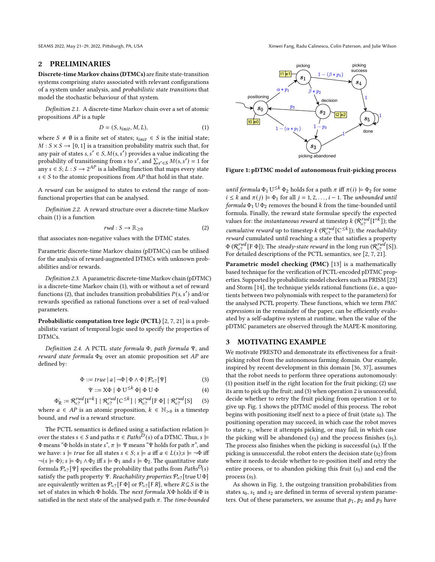#### 2 PRELIMINARIES

Discrete-time Markov chains (DTMCs) are finite state-transition systems comprising states associated with relevant configurations of a system under analysis, and probabilistic state transitions that model the stochastic behaviour of that system.

Definition 2.1. A discrete-time Markov chain over a set of atomic propositions AP is a tuple

$$
D = (S, s_{init}, M, L), \tag{1}
$$

where  $S \neq \emptyset$  is a finite set of states;  $s_{init} \in S$  is the initial state;  $M: S \times S \rightarrow [0, 1]$  is a transition probability matrix such that, for any pair of states  $s, s' \in S, M(s, s')$  provides a value indicating the probability of transitioning from s to s', and  $\sum_{s' \in S} M(s, s') = 1$  for any  $s \in S$ ;  $L : S \rightarrow 2^{AP}$  is a labelling function that maps every state  $s \in S$  to the atomic propositions from AP that hold in that state.

A reward can be assigned to states to extend the range of nonfunctional properties that can be analysed.

Definition 2.2. A reward structure over a discrete-time Markov chain (1) is a function

$$
rwd: S \to \mathbb{R}_{\geq 0} \tag{2}
$$

that associates non-negative values with the DTMC states.

Parametric discrete-time Markov chains (pDTMCs) can be utilised for the analysis of reward-augmented DTMCs with unknown probabilities and/or rewards.

Definition 2.3. A parametric discrete-time Markov chain (pDTMC) is a discrete-time Markov chain (1), with or without a set of reward functions (2), that includes transition probabilities  $P(s, s')$  and/or rewards specified as rational functions over a set of real-valued parameters.

Probabilistic computation tree logic (PCTL) [2, 7, 21] is a probabilistic variant of temporal logic used to specify the properties of DTMCs.

Definition 2.4. A PCTL state formula Φ, path formula Ψ, and reward state formula  $\Phi_R$  over an atomic proposition set AP are defined by:

$$
\Phi ::= true \mid a \mid \neg \Phi \mid \Phi \land \Phi \mid \mathcal{P}_{\equiv?}[\Psi]
$$
\n(3)

$$
\Psi ::= X\Phi \mid \Phi \ U^{\leq k} \Phi \mid \Phi \ U \ \Phi \tag{4}
$$

$$
\Phi_R^{\text{c}} := \mathcal{R}_{\text{c}}^{\text{rwd}} \left[ I^{-k} \right] \mid \mathcal{R}_{\text{c}}^{\text{rwd}} \left[ C^{\leq k} \right] \mid \mathcal{R}_{\text{c}}^{\text{rwd}} \left[ F \Phi \right] \mid \mathcal{R}_{\text{c}}^{\text{rwd}} \left[ S \right] \tag{5}
$$

where  $a \in AP$  is an atomic proposition,  $k \in \mathbb{N}_{>0}$  is a timestep bound, and rwd is a reward structure.

The PCTL semantics is defined using a satisfaction relation  $\models$ over the states  $s \in S$  and paths  $\pi \in Paths^{\overline{D}}(s)$  of a DTMC. Thus,  $s \models$ Φ means "Φ holds in state s",  $\pi \models \Psi$  means "Ψ holds for path  $\pi$ ", and we have:  $s \models true$  for all states  $s \in S$ ;  $s \models a$  iff  $a \in L(s)$ ;  $s \models \neg \Phi$  iff  $\neg(s \models \Phi)$ ;  $s \models \Phi_1 \land \Phi_2$  iff  $s \models \Phi_1$  and  $s \models \Phi_2$ . The quantitative state formula  $\mathcal{P}_{\!=?}[\Psi]$  specifies the probability that paths from  $Paths^D(s)$ satisfy the path property Ψ. Reachability properties  $\mathcal{P}_{\!=?}$  [true U  $\Phi$ ] are equivalently written as  $\mathcal{P}_{=?}[F \Phi]$  or  $\mathcal{P}_{=?}[F R]$ , where  $R \subseteq S$  is the set of states in which  $\Phi$  holds. The next formula  $X\Phi$  holds if  $\Phi$  is satisfied in the next state of the analysed path  $\pi$ . The time-bounded

SEAMS 2022, May 21-29, 2022, Pittsburgh, PA, USA Xinwei Fang, Radu Calinescu, Colin Paterson, and Julie Wilson



Figure 1: pDTMC model of autonomous fruit-picking process

until formula  $\Phi_1 \bigcup^{\leq k} \Phi_2$  holds for a path  $\pi$  iff  $\pi(i) \models \Phi_2$  for some  $i \leq k$  and  $\pi(j) \models \Phi_1$  for all  $j = 1, 2, \ldots, i - 1$ . The unbounded until formula  $\Phi_1$  U  $\Phi_2$  removes the bound *k* from the time-bounded until formula. Finally, the reward state formulae specify the expected values for: the *instantaneous reward* at timestep  $k$  ( $\mathcal{R}_{\!=?}^{rwd}[\mathrm{I}^{\!=\!\hat{k}}]$ ); the *cumulative reward* up to timestep  $k$  ( $\mathcal{R}_{\equiv?}^{rwd}$  [C<sup> $\leq k$ </sup>]); the *reachability* reward cumulated until reaching a state that satisfies a property  $\Phi$  ( $\mathcal{R}_{\!=?}^{rwd}$ [F  $\Phi$ ]); The steady-state reward in the long run ( $\mathcal{R}_{\!=?}^{rwd}$ [S]). For detailed descriptions of the PCTL semantics, see [2, 7, 21].

Parametric model checking (PMC) [13] is a mathematically based technique for the verification of PCTL-encoded pDTMC properties. Supported by probabilistic model checkers such as PRISM [23] and Storm [14], the technique yields rational functions (i.e., a quotients between two polynomials with respect to the parameters) for the analysed PCTL property. These functions, which we term PMC expressions in the remainder of the paper, can be efficiently evaluated by a self-adaptive system at runtime, when the value of the pDTMC parameters are observed through the MAPE-K monitoring.

#### 3 MOTIVATING EXAMPLE

We motivate PRESTO and demonstrate its effectiveness for a fruitpicking robot from the autonomous farming domain. Our example, inspired by recent development in this domain [36, 37], assumes that the robot needs to perform three operations autonomously: (1) position itself in the right location for the fruit picking; (2) use its arm to pick up the fruit; and (3) when operation 2 is unsuccessful, decide whether to retry the fruit picking from operation 1 or to give up. Fig. 1 shows the pDTMC model of this process. The robot begins with positioning itself next to a piece of fruit (state  $s_0$ ). The positioning operation may succeed, in which case the robot moves to state  $s_1$ , where it attempts picking, or may fail, in which case the picking will be abandoned  $(s_3)$  and the process finishes  $(s_5)$ . The process also finishes when the picking is successful  $(s<sub>4</sub>)$ . If the picking is unsuccessful, the robot enters the decision state  $(s_2)$  from where it needs to decide whether to re-position itself and retry the entire process, or to abandon picking this fruit  $(s<sub>3</sub>)$  and end the process  $(s<sub>5</sub>)$ .

As shown in Fig. 1, the outgoing transition probabilities from states  $s_0$ ,  $s_1$  and  $s_2$  are defined in terms of several system parameters. Out of these parameters, we assume that  $p_1$ ,  $p_2$  and  $p_3$  have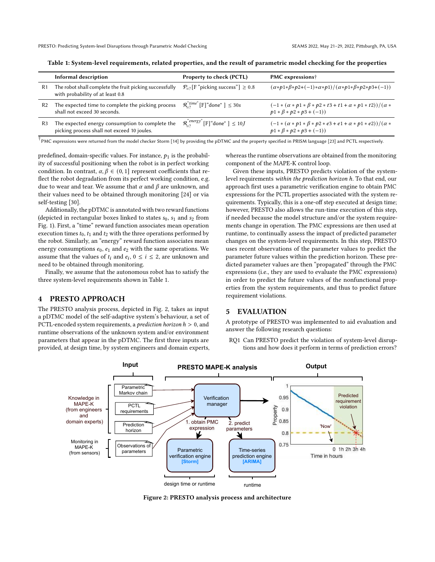|                | Informal description                                                                           | <b>Property to check (PCTL)</b>                      | <b>PMC</b> expressions <sup>†</sup>                                                                                              |
|----------------|------------------------------------------------------------------------------------------------|------------------------------------------------------|----------------------------------------------------------------------------------------------------------------------------------|
| R1             | The robot shall complete the fruit picking successfully<br>with probability of at least 0.8    | $\mathcal{P}_{=?}$ [F "picking success"] $\geq 0.8$  | $(\alpha * p1 * \beta * p2 + (-1) * \alpha * p1)/(\alpha * p1 * \beta * p2 * p3 + (-1))$                                         |
| R <sub>2</sub> | The expected time to complete the picking process<br>shall not exceed 30 seconds.              | $\mathcal{R}_{-2}^{``time"}$ [F] "done" ] $\leq 30s$ | $\frac{(-1*(\alpha * p1*\beta * p2*t3 + t1 + \alpha * p1*t2))}{(\alpha * p1 * p2 * p1 * p1)}$<br>$p1 * \beta * p2 * p3 + (-1)$   |
| R3             | The expected energy consumption to complete the<br>picking process shall not exceed 10 joules. | $\mathcal{R}_{-2}^{"energy"$ [F] "done" ] $\leq 10J$ | $\frac{(-1*(\alpha * p1*\beta * p2*e3+e1+\alpha*p1*e2))}{(\alpha * p1*\beta * p2)*\beta * p2*}$<br>$p1 * \beta * p2 * p3 + (-1)$ |

Table 1: System-level requirements, related properties, and the result of parametric model checking for the properties

 $\dagger$ PMC expressions were returned from the model checker Storm [14] by providing the pDTMC and the property specified in PRISM language [23] and PCTL respectively.

predefined, domain-specific values. For instance,  $p_1$  is the probability of successful positioning when the robot is in perfect working condition. In contrast,  $\alpha, \beta \in (0, 1]$  represent coefficients that reflect the robot degradation from its perfect working condition, e.g. due to wear and tear. We assume that  $\alpha$  and  $\beta$  are unknown, and their values need to be obtained through monitoring [24] or via self-testing [30].

Additionally, the pDTMC is annotated with two reward functions (depicted in rectangular boxes linked to states  $s_0$ ,  $s_1$  and  $s_2$  from Fig. 1). First, a "time" reward function associates mean operation execution times  $t_0$ ,  $t_1$  and  $t_2$  with the three operations performed by the robot. Similarly, an "energy" reward function associates mean energy consumptions  $e_0$ ,  $e_1$  and  $e_2$  with the same operations. We assume that the values of  $t_i$  and  $e_i$ ,  $0 \le i \le 2$ , are unknown and need to be obtained through monitoring.

Finally, we assume that the autonomous robot has to satisfy the three system-level requirements shown in Table 1.

#### 4 PRESTO APPROACH

The PRESTO analysis process, depicted in Fig. 2, takes as input a pDTMC model of the self-adaptive system's behaviour, a set of PCTL-encoded system requirements, a *prediction horizon*  $h > 0$ , and runtime observations of the unknown system and/or environment parameters that appear in the pDTMC. The first three inputs are provided, at design time, by system engineers and domain experts, whereas the runtime observations are obtained from the monitoring component of the MAPE-K control loop.

Given these inputs, PRESTO predicts violation of the systemlevel requirements within the prediction horizon ℎ. To that end, our approach first uses a parametric verification engine to obtain PMC expressions for the PCTL properties associated with the system requirements. Typically, this is a one-off step executed at design time; however, PRESTO also allows the run-time execution of this step, if needed because the model structure and/or the system requirements change in operation. The PMC expressions are then used at runtime, to continually assess the impact of predicted parameter changes on the system-level requirements. In this step, PRESTO uses recent observations of the parameter values to predict the parameter future values within the prediction horizon. These predicted parameter values are then "propagated" through the PMC expressions (i.e., they are used to evaluate the PMC expressions) in order to predict the future values of the nonfunctional properties from the system requirements, and thus to predict future requirement violations.

#### 5 EVALUATION

A prototype of PRESTO was implemented to aid evaluation and answer the following research questions:

RQ1 Can PRESTO predict the violation of system-level disruptions and how does it perform in terms of prediction errors?



Figure 2: PRESTO analysis process and architecture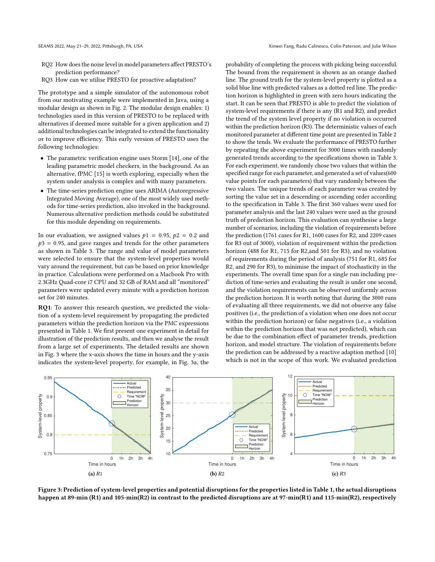- RQ2 How does the noise level in model parameters affect PRESTO's prediction performance?
- RQ3 How can we utilise PRESTO for proactive adaptation?

The prototype and a simple simulator of the autonomous robot from our motivating example were implemented in Java, using a modular design as shown in Fig. 2. The modular design enables: 1) technologies used in this version of PRESTO to be replaced with alternatives if deemed more suitable for a given application and 2) additional technologies can be integrated to extend the functionality or to improve efficiency. This early version of PRESTO uses the following technologies:

- The parametric verification engine uses Storm [14], one of the leading parametric model checkers, in the background. As an alternative, fPMC [15] is worth exploring, especially when the system under analysis is complex and with many parameters.
- The time-series prediction engine uses ARIMA (Autoregressive Integrated Moving Average), one of the most widely used methods for time-series prediction, also invoked in the background. Numerous alternative prediction methods could be substituted for this module depending on requirements.

In our evaluation, we assigned values  $p1 = 0.95$ ,  $p2 = 0.2$  and  $p3 = 0.95$ , and gave ranges and trends for the other parameters as shown in Table 3. The range and value of model parameters were selected to ensure that the system-level properties would vary around the requirement, but can be based on prior knowledge in practice. Calculations were performed on a Macbook Pro with 2.3GHz Quad-core i7 CPU and 32 GB of RAM and all "monitored" parameters were updated every minute with a prediction horizon set for 240 minutes.

RQ1: To answer this research question, we predicted the violation of a system-level requirement by propagating the predicted parameters within the prediction horizon via the PMC expressions presented in Table 1. We first present one experiment in detail for illustration of the prediction results, and then we analyse the result from a large set of experiments. The detailed results are shown in Fig. 3 where the x-axis shows the time in hours and the y-axis indicates the system-level property, for example, in Fig. 3a, the

probability of completing the process with picking being successful. The bound from the requirement is shown as an orange dashed line. The ground truth for the system-level property is plotted as a solid blue line with predicted values as a dotted red line. The prediction horizon is highlighted in green with zero hours indicating the start. It can be seen that PRESTO is able to predict the violation of system-level requirements if there is any (R1 and R2), and predict the trend of the system level property if no violation is occurred within the prediction horizon (R3). The deterministic values of each monitored parameter at different time point are presented in Table 2 to show the tends. We evaluate the performance of PRESTO further by repeating the above experiment for 3000 times with randomly generated trends according to the specifications shown in Table 3. For each experiment, we randomly chose two values that within the specified range for each parameter, and generated a set of values(600 value points for each parameters) that vary randomly between the two values. The unique trends of each parameter was created by sorting the value set in a descending or ascending order according to the specification in Table 3. The first 360 values were used for parameter analysis and the last 240 values were used as the ground truth of prediction horizon. This evaluation can synthesise a large number of scenarios, including the violation of requirements before the prediction (1761 cases for R1, 1600 cases for R2, and 2209 cases for R3 out of 3000), violation of requirement within the prediction horizon (488 for R1, 715 for R2,and 501 for R3), and no violation of requirements during the period of analysis (751 for R1, 685 for R2, and 290 for R3), to minimise the impact of stochasticity in the experiments. The overall time span for a single run including prediction of time-series and evaluating the result is under one second, and the violation requirements can be observed uniformly across the prediction horizon. It is worth noting that during the 3000 runs of evaluating all three requirements, we did not observe any false positives (i.e., the prediction of a violation when one does not occur within the prediction horizon) or false negatives (i.e., a violation within the prediction horizon that was not predicted), which can be due to the combination effect of parameter trends, prediction horizon, and model structure. The violation of requirements before the prediction can be addressed by a reactive adaption method [10] which is not in the scope of this work. We evaluated prediction



Figure 3: Prediction of system-level properties and potential disruptions for the properties listed in Table 1, the actual disruptions happen at 89-min (R1) and 105-min(R2) in contrast to the predicted disruptions are at 97-min(R1) and 115-min(R2), respectively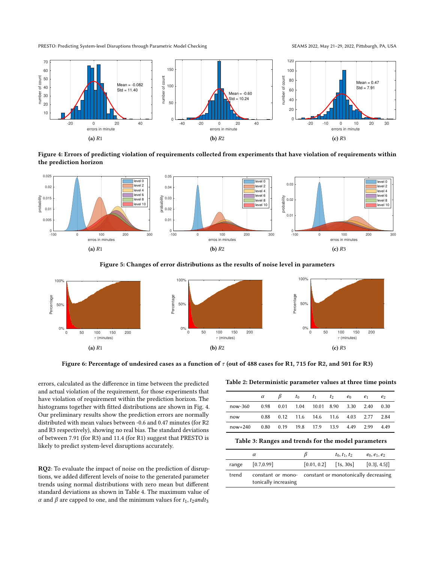PRESTO: Predicting System-level Disruptions through Parametric Model Checking SEAMS 2022, May 21-29, 2022, Pittsburgh, PA, USA



Figure 4: Errors of predicting violation of requirements collected from experiments that have violation of requirements within the prediction horizon



Figure 5: Changes of error distributions as the results of noise level in parameters



Figure 6: Percentage of undesired cases as a function of  $\tau$  (out of 488 cases for R1, 715 for R2, and 501 for R3)

errors, calculated as the difference in time between the predicted and actual violation of the requirement, for those experiments that have violation of requirement within the prediction horizon. The histograms together with fitted distributions are shown in Fig. 4. Our preliminary results show the prediction errors are normally distributed with mean values between -0.6 and 0.47 minutes (for R2 and R3 respectively), showing no real bias. The standard deviations of between 7.91 (for R3) and 11.4 (for R1) suggest that PRESTO is likely to predict system-level disruptions accurately.

RQ2: To evaluate the impact of noise on the prediction of disruptions, we added different levels of noise to the generated parameter trends using normal distributions with zero mean but different standard deviations as shown in Table 4. The maximum value of  $\alpha$  and  $\beta$  are capped to one, and the minimum values for  $t_1$ ,  $t_2$  and  $t_3$ 

Table 2: Deterministic parameter values at three time points

| $\beta$ $t_0$ $t_1$ $t_2$ $e_0$<br>$\alpha$ and $\alpha$<br>$e_1$<br>0.98  0.01  1.04  10.01  8.90  3.30  2.40<br>now-360 | e <sub>2</sub> |
|---------------------------------------------------------------------------------------------------------------------------|----------------|
|                                                                                                                           |                |
|                                                                                                                           | 0.30           |
| 0.88 0.12 11.6 14.6 11.6 4.03 2.77 2.84<br>now                                                                            |                |
| 0.80 0.19 19.8 17.9 13.9 4.49 2.99<br>$now+240$                                                                           | 4.49           |

Table 3: Ranges and trends for the model parameters

|       | $\alpha$             | ĸ                                                      | $t_0, t_1, t_2$ | $e_0, e_1, e_2$ |
|-------|----------------------|--------------------------------------------------------|-----------------|-----------------|
| range | [0.7, 0.99]          | $[0.01, 0.2]$ [1s, 30s]                                |                 | $[0.3]$ , 4.5]  |
| trend | tonically increasing | constant or mono- constant or monotonically decreasing |                 |                 |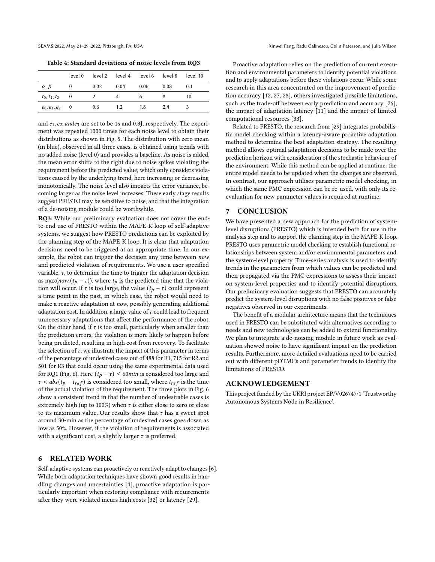Table 4: Standard deviations of noise levels from RQ3

|                     |          |      |      | level 0 level 2 level 4 level 6 level 8 level 10 |      |     |
|---------------------|----------|------|------|--------------------------------------------------|------|-----|
| $\alpha, \beta$     | $\bf{0}$ | 0.02 | 0.04 | 0.06                                             | 0.08 | 0.1 |
| $t_0, t_1, t_2$ 0   |          |      |      |                                                  |      | 10  |
| $e_0, e_1, e_2 = 0$ |          | 0.6  | 1.2  | 1.8                                              | 24   | 3   |

and  $e_1$ ,  $e_2$ , and  $e_3$  are set to be 1s and 0.3J, respectively. The experiment was repeated 1000 times for each noise level to obtain their distributions as shown in Fig. 5. The distribution with zero mean (in blue), observed in all three cases, is obtained using trends with no added noise (level 0) and provides a baseline. As noise is added, the mean error shifts to the right due to noise spikes violating the requirement before the predicted value, which only considers violations caused by the underlying trend, here increasing or decreasing monotonically. The noise level also impacts the error variance, becoming larger as the noise level increases. These early stage results suggest PRESTO may be sensitive to noise, and that the integration of a de-noising module could be worthwhile.

RQ3: While our preliminary evaluation does not cover the endto-end use of PRESTO within the MAPE-K loop of self-adaptive systems, we suggest how PRESTO predictions can be exploited by the planning step of the MAPE-K loop. It is clear that adaptation decisions need to be triggered at an appropriate time. In our example, the robot can trigger the decision any time between now and predicted violation of requirements. We use a user specified variable,  $\tau$ , to determine the time to trigger the adaptation decision as max( $now,(t_p - \tau)$ ), where  $t_p$  is the predicted time that the violation will occur. If  $\tau$  is too large, the value  $(t_p - \tau)$  could represent a time point in the past, in which case, the robot would need to make a reactive adaptation at now, possibly generating additional adaptation cost. In addition, a large value of  $\tau$  could lead to frequent unnecessary adaptations that affect the performance of the robot. On the other hand, if  $\tau$  is too small, particularly when smaller than the prediction errors, the violation is more likely to happen before being predicted, resulting in high cost from recovery. To facilitate the selection of  $\tau$ , we illustrate the impact of this parameter in terms of the percentage of undesired cases out of 488 for R1, 715 for R2 and 501 for R3 that could occur using the same experimental data used for RQ1 (Fig. 6). Here  $(t_p - \tau) \le 60$  *min* is considered too large and  $\tau$  < abs( $t_p - t_{ref}$ ) is considered too small, where  $t_{ref}$  is the time of the actual violation of the requirement. The three plots in Fig. 6 show a consistent trend in that the number of undesirable cases is extremely high (up to 100%) when  $\tau$  is either close to zero or close to its maximum value. Our results show that  $\tau$  has a sweet spot around 30-min as the percentage of undesired cases goes down as low as 50%. However, if the violation of requirements is associated with a significant cost, a slightly larger  $\tau$  is preferred.

#### 6 RELATED WORK

Self-adaptive systems can proactively or reactively adapt to changes [6]. While both adaptation techniques have shown good results in handling changes and uncertainties [4], proactive adaptation is particularly important when restoring compliance with requirements after they were violated incurs high costs [32] or latency [29].

Proactive adaptation relies on the prediction of current execution and environmental parameters to identify potential violations and to apply adaptations before these violations occur. While some research in this area concentrated on the improvement of prediction accuracy [12, 27, 28], others investigated possible limitations, such as the trade-off between early prediction and accuracy [26], the impact of adaptation latency [11] and the impact of limited computational resources [33].

Related to PRESTO, the research from [29] integrates probabilistic model checking within a latency-aware proactive adaptation method to determine the best adaptation strategy. The resulting method allows optimal adaptation decisions to be made over the prediction horizon with consideration of the stochastic behaviour of the environment. While this method can be applied at runtime, the entire model needs to be updated when the changes are observed. In contrast, our approach utilises parametric model checking, in which the same PMC expression can be re-used, with only its reevaluation for new parameter values is required at runtime.

#### 7 CONCLUSION

We have presented a new approach for the prediction of systemlevel disruptions (PRESTO) which is intended both for use in the analysis step and to support the planning step in the MAPE-K loop. PRESTO uses parametric model checking to establish functional relationships between system and/or environmental parameters and the system-level property. Time-series analysis is used to identify trends in the parameters from which values can be predicted and then propagated via the PMC expressions to assess their impact on system-level properties and to identify potential disruptions. Our preliminary evaluation suggests that PRESTO can accurately predict the system-level disruptions with no false positives or false negatives observed in our experiments.

The benefit of a modular architecture means that the techniques used in PRESTO can be substituted with alternatives according to needs and new technologies can be added to extend functionality. We plan to integrate a de-noising module in future work as evaluation showed noise to have significant impact on the prediction results. Furthermore, more detailed evaluations need to be carried out with different pDTMCs and parameter trends to identify the limitations of PRESTO.

#### ACKNOWLEDGEMENT

This project funded by the UKRI project EP/V026747/1 'Trustworthy Autonomous Systems Node in Resilience'.